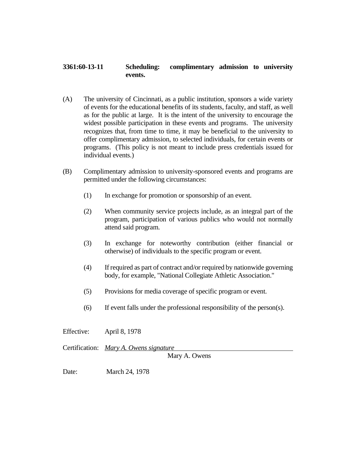## **3361:60-13-11 Scheduling: complimentary admission to university events.**

- (A) The university of Cincinnati, as a public institution, sponsors a wide variety of events for the educational benefits of its students, faculty, and staff, as well as for the public at large. It is the intent of the university to encourage the widest possible participation in these events and programs. The university recognizes that, from time to time, it may be beneficial to the university to offer complimentary admission, to selected individuals, for certain events or programs. (This policy is not meant to include press credentials issued for individual events.)
- (B) Complimentary admission to university-sponsored events and programs are permitted under the following circumstances:
	- (1) In exchange for promotion or sponsorship of an event.
	- (2) When community service projects include, as an integral part of the program, participation of various publics who would not normally attend said program.
	- (3) In exchange for noteworthy contribution (either financial or otherwise) of individuals to the specific program or event.
	- (4) If required as part of contract and/or required by nationwide governing body, for example, "National Collegiate Athletic Association."
	- (5) Provisions for media coverage of specific program or event.
	- (6) If event falls under the professional responsibility of the person(s).

Effective: April 8, 1978

Certification: *Mary A. Owens signature*

Mary A. Owens

Date: March 24, 1978